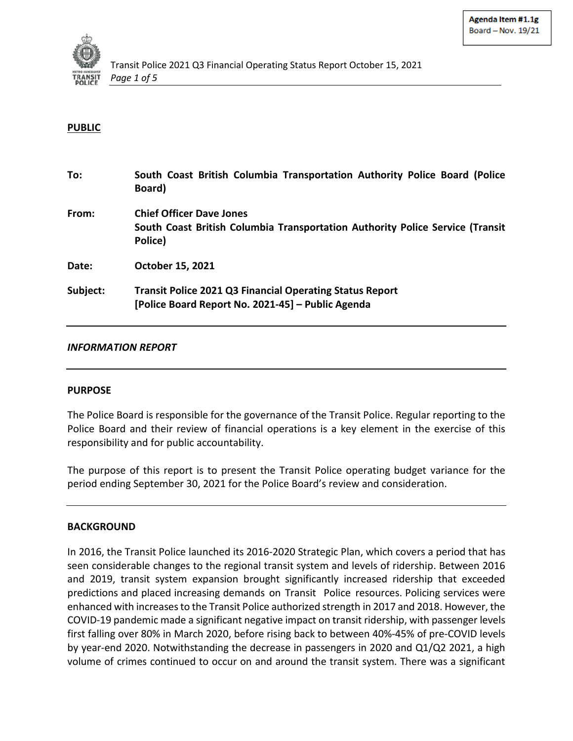

### **PUBLIC**

| To:      | South Coast British Columbia Transportation Authority Police Board (Police<br>Board)                                        |
|----------|-----------------------------------------------------------------------------------------------------------------------------|
| From:    | <b>Chief Officer Dave Jones</b><br>South Coast British Columbia Transportation Authority Police Service (Transit<br>Police) |
| Date:    | October 15, 2021                                                                                                            |
| Subject: | <b>Transit Police 2021 Q3 Financial Operating Status Report</b><br>[Police Board Report No. 2021-45] - Public Agenda        |

#### *INFORMATION REPORT*

#### **PURPOSE**

The Police Board is responsible for the governance of the Transit Police. Regular reporting to the Police Board and their review of financial operations is a key element in the exercise of this responsibility and for public accountability.

The purpose of this report is to present the Transit Police operating budget variance for the period ending September 30, 2021 for the Police Board's review and consideration.

### **BACKGROUND**

In 2016, the Transit Police launched its 2016-2020 Strategic Plan, which covers a period that has seen considerable changes to the regional transit system and levels of ridership. Between 2016 and 2019, transit system expansion brought significantly increased ridership that exceeded predictions and placed increasing demands on Transit Police resources. Policing services were enhanced with increases to the Transit Police authorized strength in 2017 and 2018. However, the COVID-19 pandemic made a significant negative impact on transit ridership, with passenger levels first falling over 80% in March 2020, before rising back to between 40%-45% of pre-COVID levels by year-end 2020. Notwithstanding the decrease in passengers in 2020 and Q1/Q2 2021, a high volume of crimes continued to occur on and around the transit system. There was a significant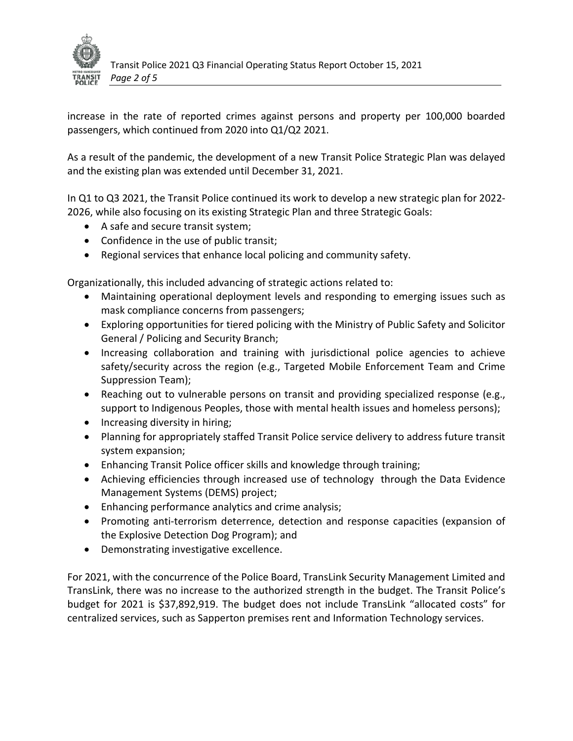

increase in the rate of reported crimes against persons and property per 100,000 boarded passengers, which continued from 2020 into Q1/Q2 2021.

As a result of the pandemic, the development of a new Transit Police Strategic Plan was delayed and the existing plan was extended until December 31, 2021.

In Q1 to Q3 2021, the Transit Police continued its work to develop a new strategic plan for 2022- 2026, while also focusing on its existing Strategic Plan and three Strategic Goals:

- A safe and secure transit system;
- Confidence in the use of public transit;
- Regional services that enhance local policing and community safety.

Organizationally, this included advancing of strategic actions related to:

- Maintaining operational deployment levels and responding to emerging issues such as mask compliance concerns from passengers;
- Exploring opportunities for tiered policing with the Ministry of Public Safety and Solicitor General / Policing and Security Branch;
- Increasing collaboration and training with jurisdictional police agencies to achieve safety/security across the region (e.g., Targeted Mobile Enforcement Team and Crime Suppression Team);
- Reaching out to vulnerable persons on transit and providing specialized response (e.g., support to Indigenous Peoples, those with mental health issues and homeless persons);
- Increasing diversity in hiring;
- Planning for appropriately staffed Transit Police service delivery to address future transit system expansion;
- Enhancing Transit Police officer skills and knowledge through training;
- Achieving efficiencies through increased use of technology through the Data Evidence Management Systems (DEMS) project;
- Enhancing performance analytics and crime analysis;
- Promoting anti-terrorism deterrence, detection and response capacities (expansion of the Explosive Detection Dog Program); and
- Demonstrating investigative excellence.

For 2021, with the concurrence of the Police Board, TransLink Security Management Limited and TransLink, there was no increase to the authorized strength in the budget. The Transit Police's budget for 2021 is \$37,892,919. The budget does not include TransLink "allocated costs" for centralized services, such as Sapperton premises rent and Information Technology services.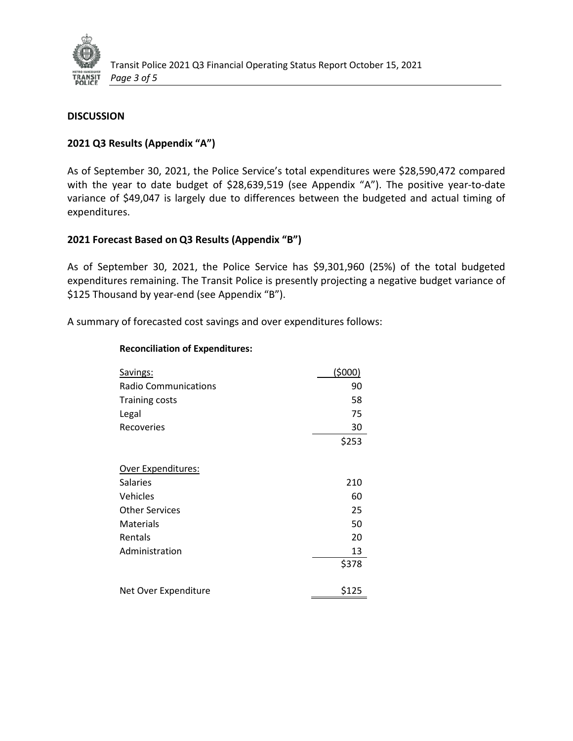

## **DISCUSSION**

## **2021 Q3 Results (Appendix "A")**

As of September 30, 2021, the Police Service's total expenditures were \$28,590,472 compared with the year to date budget of \$28,639,519 (see Appendix "A"). The positive year-to-date variance of \$49,047 is largely due to differences between the budgeted and actual timing of expenditures.

## **2021 Forecast Based on Q3 Results (Appendix "B")**

As of September 30, 2021, the Police Service has \$9,301,960 (25%) of the total budgeted expenditures remaining. The Transit Police is presently projecting a negative budget variance of \$125 Thousand by year-end (see Appendix "B").

A summary of forecasted cost savings and over expenditures follows:

#### **Reconciliation of Expenditures:**

| Savings:                    | (5000) |
|-----------------------------|--------|
| <b>Radio Communications</b> | 90     |
| <b>Training costs</b>       | 58     |
| Legal                       | 75     |
| Recoveries                  | 30     |
|                             | \$253  |
| Over Expenditures:          |        |
| Salaries                    | 210    |
| Vehicles                    | 60     |
| <b>Other Services</b>       | 25     |
| Materials                   | 50     |
| Rentals                     | 20     |
| Administration              | 13     |
|                             | \$378  |
| Net Over Expenditure        | \$125  |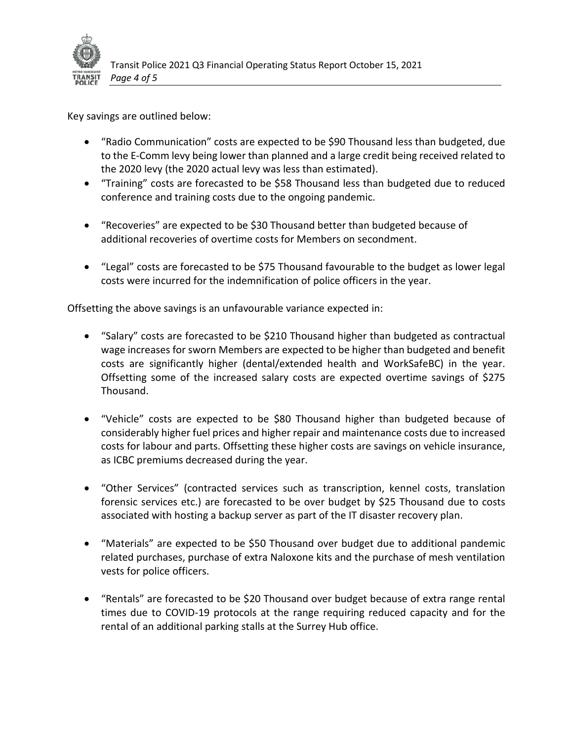

Key savings are outlined below:

- "Radio Communication" costs are expected to be \$90 Thousand less than budgeted, due to the E-Comm levy being lower than planned and a large credit being received related to the 2020 levy (the 2020 actual levy was less than estimated).
- "Training" costs are forecasted to be \$58 Thousand less than budgeted due to reduced conference and training costs due to the ongoing pandemic.
- "Recoveries" are expected to be \$30 Thousand better than budgeted because of additional recoveries of overtime costs for Members on secondment.
- "Legal" costs are forecasted to be \$75 Thousand favourable to the budget as lower legal costs were incurred for the indemnification of police officers in the year.

Offsetting the above savings is an unfavourable variance expected in:

- "Salary" costs are forecasted to be \$210 Thousand higher than budgeted as contractual wage increases for sworn Members are expected to be higher than budgeted and benefit costs are significantly higher (dental/extended health and WorkSafeBC) in the year. Offsetting some of the increased salary costs are expected overtime savings of \$275 Thousand.
- "Vehicle" costs are expected to be \$80 Thousand higher than budgeted because of considerably higher fuel prices and higher repair and maintenance costs due to increased costs for labour and parts. Offsetting these higher costs are savings on vehicle insurance, as ICBC premiums decreased during the year.
- "Other Services" (contracted services such as transcription, kennel costs, translation forensic services etc.) are forecasted to be over budget by \$25 Thousand due to costs associated with hosting a backup server as part of the IT disaster recovery plan.
- "Materials" are expected to be \$50 Thousand over budget due to additional pandemic related purchases, purchase of extra Naloxone kits and the purchase of mesh ventilation vests for police officers.
- "Rentals" are forecasted to be \$20 Thousand over budget because of extra range rental times due to COVID-19 protocols at the range requiring reduced capacity and for the rental of an additional parking stalls at the Surrey Hub office.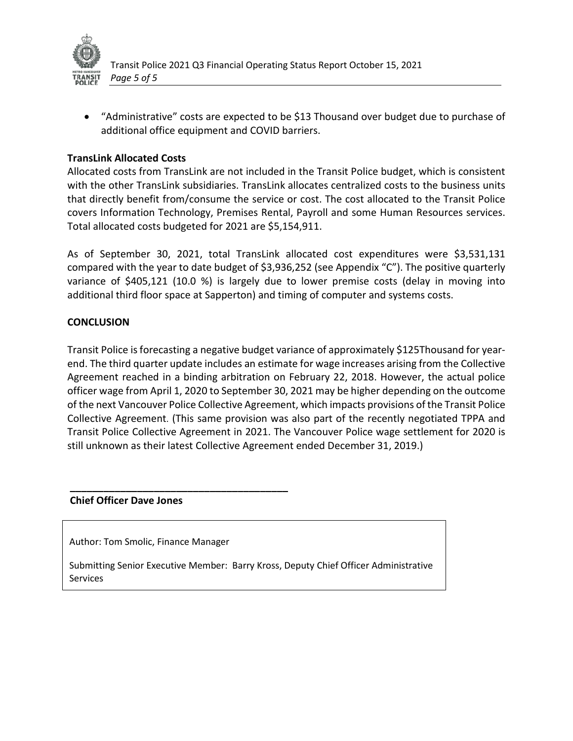

• "Administrative" costs are expected to be \$13 Thousand over budget due to purchase of additional office equipment and COVID barriers.

## **TransLink Allocated Costs**

Allocated costs from TransLink are not included in the Transit Police budget, which is consistent with the other TransLink subsidiaries. TransLink allocates centralized costs to the business units that directly benefit from/consume the service or cost. The cost allocated to the Transit Police covers Information Technology, Premises Rental, Payroll and some Human Resources services. Total allocated costs budgeted for 2021 are \$5,154,911.

As of September 30, 2021, total TransLink allocated cost expenditures were \$3,531,131 compared with the year to date budget of \$3,936,252 (see Appendix "C"). The positive quarterly variance of \$405,121 (10.0 %) is largely due to lower premise costs (delay in moving into additional third floor space at Sapperton) and timing of computer and systems costs.

### **CONCLUSION**

Transit Police is forecasting a negative budget variance of approximately \$125Thousand for yearend. The third quarter update includes an estimate for wage increases arising from the Collective Agreement reached in a binding arbitration on February 22, 2018. However, the actual police officer wage from April 1, 2020 to September 30, 2021 may be higher depending on the outcome of the next Vancouver Police Collective Agreement, which impacts provisions of the Transit Police Collective Agreement. (This same provision was also part of the recently negotiated TPPA and Transit Police Collective Agreement in 2021. The Vancouver Police wage settlement for 2020 is still unknown as their latest Collective Agreement ended December 31, 2019.)

#### **Chief Officer Dave Jones**

Author: Tom Smolic, Finance Manager

**\_\_\_\_\_\_\_\_\_\_\_\_\_\_\_\_\_\_\_\_\_\_\_\_\_\_\_\_\_\_\_\_\_\_\_\_\_\_\_**

Submitting Senior Executive Member: Barry Kross, Deputy Chief Officer Administrative Services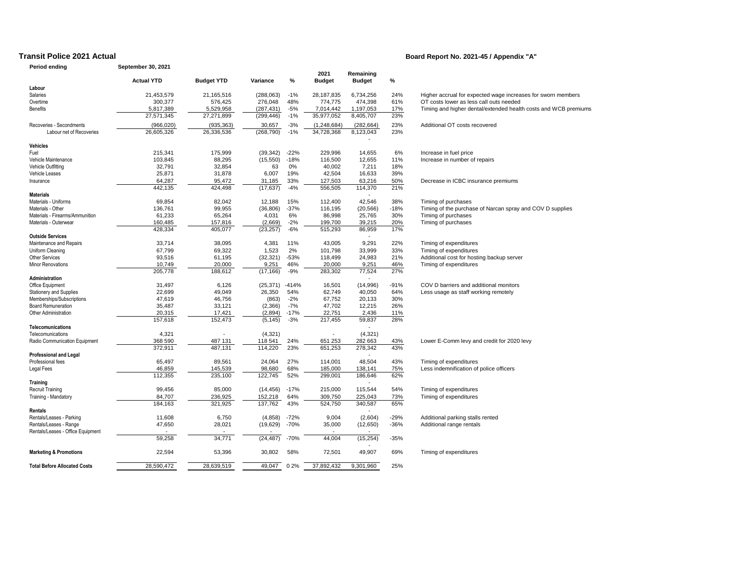#### **Period ending September 30, 2021**

#### **Transit Police 2021 Actual Board Report No. 2021-45 / Appendix "A"**

|                                     | <b>Actual YTD</b> | <b>Budget YTD</b> | Variance   | %       | 2021<br><b>Budget</b> | Remaining<br><b>Budget</b> | %      |                                                                 |
|-------------------------------------|-------------------|-------------------|------------|---------|-----------------------|----------------------------|--------|-----------------------------------------------------------------|
| Labour                              |                   |                   |            |         |                       |                            |        |                                                                 |
| Salaries                            | 21,453,579        | 21,165,516        | (288, 063) | $-1%$   | 28,187,835            | 6,734,256                  | 24%    | Higher accrual for expected wage increases for sworn members    |
| Overtime                            | 300,377           | 576,425           | 276,048    | 48%     | 774,775               | 474,398                    | 61%    | OT costs lower as less call outs needed                         |
| <b>Benefits</b>                     | 5,817,389         | 5,529,958         | (287, 431) | $-5%$   | 7,014,442             | 1,197,053                  | 17%    | Timing and higher dental/extended health costs and WCB premiums |
|                                     | 27,571,345        | 27,271,899        | (299, 446) | $-1%$   | 35,977,052            | 8,405,707                  | 23%    |                                                                 |
| Recoveries - Secondments            | (966, 020)        | (935, 363)        | 30,657     | $-3%$   | (1, 248, 684)         | (282, 664)                 | 23%    | Additional OT costs recovered                                   |
| Labour net of Recoveries            | 26,605,326        | 26,336,536        | (268, 790) | $-1%$   | 34,728,368            | 8,123,043                  | 23%    |                                                                 |
| <b>Vehicles</b>                     |                   |                   |            |         |                       |                            |        |                                                                 |
| Fuel                                | 215,341           | 175,999           | (39, 342)  | $-22%$  | 229,996               | 14,655                     | 6%     | Increase in fuel price                                          |
| Vehicle Maintenance                 | 103,845           | 88,295            | (15, 550)  | $-18%$  | 116,500               | 12,655                     | 11%    | Increase in number of repairs                                   |
| Vehicle Outfitting                  | 32,791            | 32,854            | 63         | 0%      | 40,002                | 7,211                      | 18%    |                                                                 |
| Vehicle Leases                      | 25,871            | 31,878            | 6,007      | 19%     | 42,504                | 16,633                     | 39%    |                                                                 |
| Insurance                           | 64,287            | 95,472            | 31,185     | 33%     | 127,503               | 63,216                     | 50%    | Decrease in ICBC insurance premiums                             |
|                                     | 442,135           | 424,498           | (17, 637)  | $-4%$   | 556,505               | 114,370                    | 21%    |                                                                 |
| <b>Materials</b>                    |                   |                   |            |         |                       |                            |        |                                                                 |
| Materials - Uniforms                | 69,854            | 82,042            | 12,188     | 15%     | 112,400               | 42,546                     | 38%    | Timing of purchases                                             |
| Materials - Other                   | 136,761           | 99,955            | (36, 806)  | $-37%$  | 116,195               | (20, 566)                  | $-18%$ | Timing of the purchase of Narcan spray and COV D supplies       |
| Materials - Firearms/Ammunition     | 61,233            | 65,264            | 4,031      | 6%      | 86,998                | 25,765                     | 30%    | Timing of purchases                                             |
| Materials - Outerwear               | 160,485           | 157,816           | (2,669)    | $-2%$   | 199,700               | 39,215                     | 20%    | Timing of purchases                                             |
|                                     | 428.334           | 405,077           | (23, 257)  | $-6%$   | 515,293               | 86,959                     | 17%    |                                                                 |
| <b>Outside Services</b>             |                   |                   |            |         |                       |                            |        |                                                                 |
| Maintenance and Repairs             | 33,714            | 38,095            | 4,381      | 11%     | 43,005                | 9,291                      | 22%    | Timing of expenditures                                          |
| Uniform Cleaning                    | 67,799            | 69,322            | 1,523      | 2%      | 101,798               | 33,999                     | 33%    | Timing of expenditures                                          |
| Other Services                      | 93,516            | 61,195            | (32, 321)  | $-53%$  | 118,499               | 24,983                     | 21%    | Additional cost for hosting backup server                       |
| Minor Renovations                   | 10,749            | 20,000            | 9,251      | 46%     | 20,000                | 9,251                      | 46%    | Timing of expenditures                                          |
|                                     | 205,778           | 188,612           | (17, 166)  | $-9%$   | 283,302               | 77,524                     | 27%    |                                                                 |
| Administration                      |                   |                   |            |         |                       |                            |        |                                                                 |
| Office Equipment                    | 31,497            | 6,126             | (25, 371)  | $-414%$ | 16,501                | (14,996)                   | $-91%$ | COV D barriers and additional monitors                          |
| <b>Stationery and Supplies</b>      | 22,699            | 49,049            | 26,350     | 54%     | 62,749                | 40,050                     | 64%    | Less usage as staff working remotely                            |
| Memberships/Subscriptions           | 47,619            | 46,756            | (863)      | $-2%$   | 67,752                | 20,133                     | 30%    |                                                                 |
| <b>Board Remuneration</b>           | 35,487            | 33,121            | (2,366)    | $-7%$   | 47,702                | 12,215                     | 26%    |                                                                 |
| Other Administration                | 20,315            | 17,421            | (2,894)    | $-17%$  | 22,751                | 2,436                      | 11%    |                                                                 |
|                                     | 157,618           | 152,473           | (5, 145)   | $-3%$   | 217,455               | 59,837                     | 28%    |                                                                 |
| Telecomunications                   |                   |                   |            |         |                       |                            |        |                                                                 |
| Telecomunications                   | 4,321             |                   | (4, 321)   |         |                       | (4, 321)                   |        |                                                                 |
| Radio Communication Equipment       | 368 590           | 487 131           | 118 541    | 24%     | 651 253               | 282 663                    | 43%    | Lower E-Comm levy and credit for 2020 levy                      |
|                                     | 372,911           | 487.131           | 114,220    | 23%     | 651,253               | 278,342                    | 43%    |                                                                 |
| <b>Professional and Legal</b>       |                   |                   |            |         |                       |                            |        |                                                                 |
| Professional fees                   | 65,497            | 89,561            | 24,064     | 27%     | 114,001               | 48,504                     | 43%    | Timing of expenditures                                          |
| Legal Fees                          | 46,859            | 145,539           | 98,680     | 68%     | 185,000               | 138.141                    | 75%    | Less indemnification of police officers                         |
|                                     | 112,355           | 235,100           | 122,745    | 52%     | 299,001               | 186,646                    | 62%    |                                                                 |
| <b>Training</b>                     |                   |                   |            |         |                       | ÷.                         |        |                                                                 |
| <b>Recruit Training</b>             | 99,456            | 85,000            | (14, 456)  | $-17%$  | 215,000               | 115,544                    | 54%    | Timing of expenditures                                          |
| Training - Mandatory                | 84,707            | 236,925           | 152,218    | 64%     | 309,750               | 225,043                    | 73%    | Timing of expenditures                                          |
|                                     | 184,163           | 321,925           | 137,762    | 43%     | 524,750               | 340,587                    | 65%    |                                                                 |
| Rentals                             |                   |                   |            |         |                       |                            |        |                                                                 |
| Rentals/Leases - Parking            | 11,608            | 6,750             | (4,858)    | $-72%$  | 9,004                 | (2,604)                    | $-29%$ | Additional parking stalls rented                                |
| Rentals/Leases - Range              | 47,650            | 28,021            | (19,629)   | $-70%$  | 35,000                | (12,650)                   | $-36%$ | Additional range rentals                                        |
| Rentals/Leases - Office Equipment   |                   |                   |            |         |                       |                            |        |                                                                 |
|                                     | 59,258            | 34,771            | (24, 487)  | $-70%$  | 44,004                | (15, 254)                  | $-35%$ |                                                                 |
| <b>Marketing &amp; Promotions</b>   | 22,594            | 53,396            | 30,802     | 58%     | 72,501                | 49,907                     | 69%    | Timing of expenditures                                          |
| <b>Total Before Allocated Costs</b> | 28,590,472        | 28,639,519        | 49,047     | 02%     | 37,892,432            | 9,301,960                  | 25%    |                                                                 |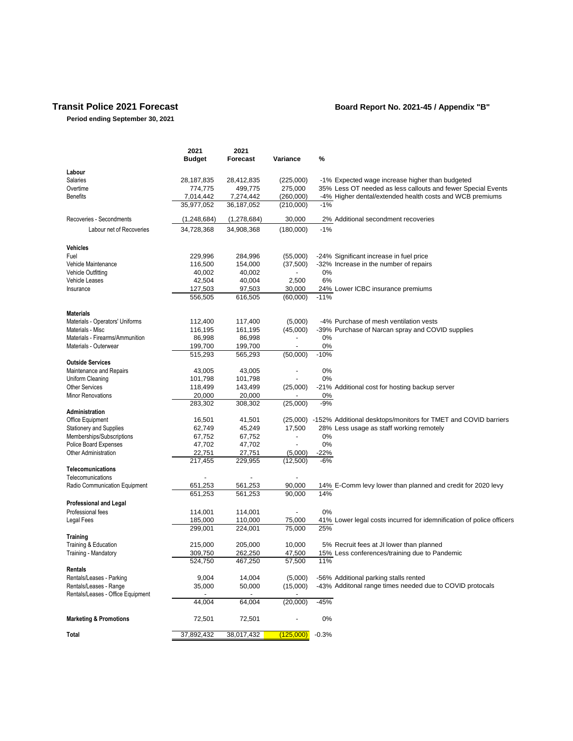#### **Period ending September 30, 2021**

#### **Transit Police 2021 Forecast Board Report No. 2021-45 / Appendix "B"**

**2021 2021 Budget Forecast Variance % Labour** Salaries 28,187,835 28,412,835 (225,000) -1% Expected wage increase higher than budgeted Overtime 774,775 499,775 275,000 35% Less OT needed as less callouts and fewer Special Events Benefits 7,014,442 7,274,442 (260,000) -4% Higher dental/extended health costs and WCB premiums<br>35,977,052 36,187,052 (210,000) -1% 35,977,052 Recoveries - Secondments (1,248,684) (1,278,684) 30,000 2% Additional secondment recoveries Labour net of Recoveries 34,728,368 34,908,368 (180,000) -1% **Vehicles** Fuel 229,996 284,996 (55,000) -24% Significant increase in fuel price 16,500 154,000 (37,500) -32% Increase in the number of repairs<br>40,002 40,002 - 0% Vehicle Outfitting  $\begin{array}{cccc} 40,002 & 40,002 & - \\ 42,504 & 40,004 & 2.500 \end{array}$ Vehicle Leases 42,504 40,004 2,500 6% Insurance 127,503 97,503 30,000 24% Lower ICBC insurance premiums<br>556,505 616,505 (60,000) -11%  $(60,000)$ **Materials** Materials - Operators' Uniforms 112,400 117,400 (5,000) - 4% Purchase of mesh ventilation vests<br>116,195 161,195 (45,000) - 39% Purchase of Narcan spray and CO Materials - Misc 116,195 161,195 161,195 (45,000) - 39% Purchase of Narcan spray and COVID supplies<br>Materials - Firearms/Ammunition 26,998 86,998 36,998 0% Materials - Firearms/Ammunition 199,700 86,998 86,998 - 0%<br>Materials - Outerwear 199,700 866,998 - 0% Materials - Outerwear **199,700** 199,700 199,700 - 0%<br>515.293 565.293 565.293 550,000 -10%  $\overline{515,293}$   $\overline{565,293}$   $(50,000)$ **Outside Services** Maintenance and Repairs **43,005** 43,005 - 0%<br>
101.798 101.798 - 0% Uniform Cleaning 101,798 101,798 Other Services 20,000 118,499 143,499 (25,000) -21% Additional cost for hosting backup server<br>
Minor Renovations 20,000 20,000 20,000 - 0% Minor Renovations 20,000 20,000 - 0%<br>283,302 308,302 (25,000) -9% 283,302 **Administration** Office Equipment 16,501 16,501 41,501 (25,000) -152% Additional desktops/monitors for TMET and COVID barriers<br>
Stationery and Supplies 62,749 45,249 17,500 28% Less usage as staff working remotely Stationery and Supplies **62,749** 45,249 17,500 28% Less usage as staff working remotely Memberships/Subscriptions 67,752 67,752 - 0%<br>
Police Board Expenses 67,702 47,702 - 0% Police Board Expenses  $47,702$   $47,702$   $47,702$   $47,702$   $47,702$   $47,702$   $47,702$   $47,702$   $47,702$   $47,702$   $47,702$   $47,702$   $47,702$   $47,702$   $47,702$   $47,702$   $47,702$   $47,702$   $47,702$   $47,702$   $47,702$   $47,702$   $4$ Other Administration 22,751 217,455 229,955 (12,500) -6% **Telecomunications** Telecomunications<br>
Radio Communication Equipment<br>
Radio Communication Equipment<br>
651.253 561.253 90.000 Radio Communication Equipment **651,253** 561,253 90,000 14% E-Comm levy lower than planned and credit for 2020 levy<br>651,253 561,253 90,000 14% 651,253 **Professional and Legal** Professional fees **114,001** 114,001 - 0% Legal Fees 185,000 110,000 75,000 41% Lower legal costs incurred for idemnification of police officers<br>299,001 224,001 75,000 25% 299,001 **Training**  Training & Education **215,000** 205,000 10,000 5% Recruit fees at JI lower than planned<br>Training - Mandatory **200,750** 262,250 47,500 15% Less conferences/training due to Pan  $\frac{262,250}{47,500}$   $\frac{47,500}{57,500}$   $\frac{15\%}{11\%}$  Less conferences/training due to Pandemic 524,750 **Rentals** Rentals/Leases - Parking 9,004 14,004 (5,000) -56% Additional parking stalls rented 35,000 50,000 (15,000) - 43% Additonal range times needed due to COVID protocals Rentals/Leases - Office Equipment - - -  $(20,000)$  -45% **Marketing & Promotions** 72,501 72,501 - 0% **Total** 37,892,432 38,017,432 (125,000) -0.3%